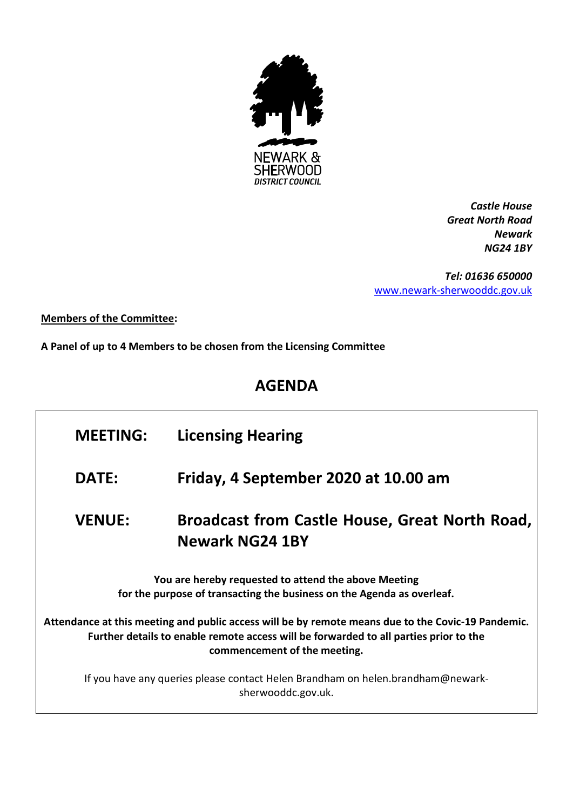

*Castle House Great North Road Newark NG24 1BY*

*Tel: 01636 650000* [www.newark-sherwooddc.gov.uk](http://www.newark-sherwooddc.gov.uk/)

## **Members of the Committee:**

**A Panel of up to 4 Members to be chosen from the Licensing Committee**

## **AGENDA**

| <b>MEETING:</b>                                                                                                                                                                                                             | <b>Licensing Hearing</b>                                                 |  |  |  |
|-----------------------------------------------------------------------------------------------------------------------------------------------------------------------------------------------------------------------------|--------------------------------------------------------------------------|--|--|--|
| <b>DATE:</b>                                                                                                                                                                                                                | Friday, 4 September 2020 at 10.00 am                                     |  |  |  |
| <b>VENUE:</b>                                                                                                                                                                                                               | Broadcast from Castle House, Great North Road,<br><b>Newark NG24 1BY</b> |  |  |  |
| You are hereby requested to attend the above Meeting<br>for the purpose of transacting the business on the Agenda as overleaf.                                                                                              |                                                                          |  |  |  |
| Attendance at this meeting and public access will be by remote means due to the Covic-19 Pandemic.<br>Further details to enable remote access will be forwarded to all parties prior to the<br>commencement of the meeting. |                                                                          |  |  |  |
| If you have any queries please contact Helen Brandham on helen.brandham@newark-<br>sherwooddc.gov.uk.                                                                                                                       |                                                                          |  |  |  |